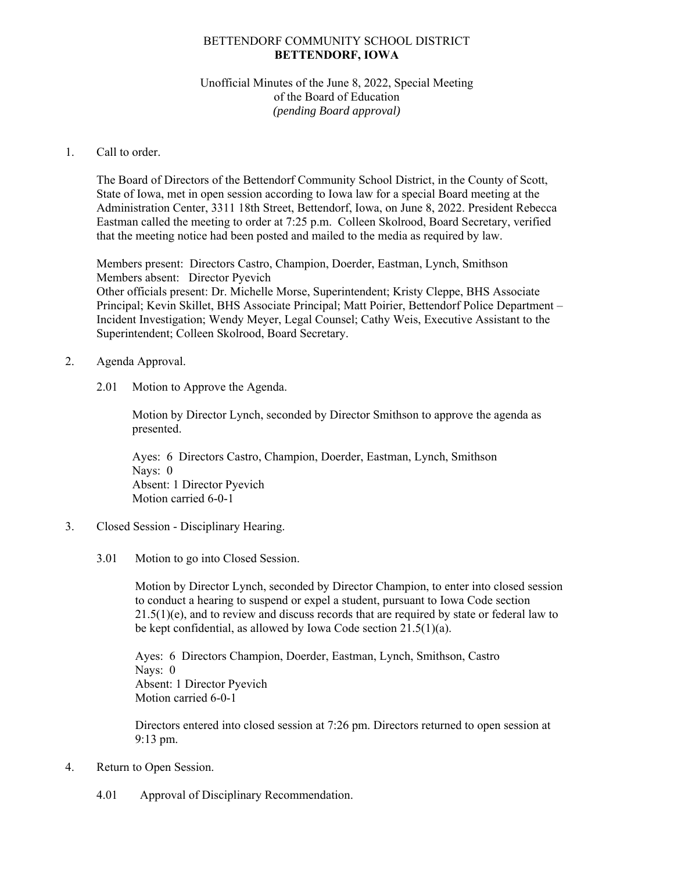## BETTENDORF COMMUNITY SCHOOL DISTRICT **BETTENDORF, IOWA**

## Unofficial Minutes of the June 8, 2022, Special Meeting of the Board of Education *(pending Board approval)*

## 1. Call to order.

The Board of Directors of the Bettendorf Community School District, in the County of Scott, State of Iowa, met in open session according to Iowa law for a special Board meeting at the Administration Center, 3311 18th Street, Bettendorf, Iowa, on June 8, 2022. President Rebecca Eastman called the meeting to order at 7:25 p.m. Colleen Skolrood, Board Secretary, verified that the meeting notice had been posted and mailed to the media as required by law.

Members present: Directors Castro, Champion, Doerder, Eastman, Lynch, Smithson Members absent: Director Pyevich Other officials present: Dr. Michelle Morse, Superintendent; Kristy Cleppe, BHS Associate Principal; Kevin Skillet, BHS Associate Principal; Matt Poirier, Bettendorf Police Department – Incident Investigation; Wendy Meyer, Legal Counsel; Cathy Weis, Executive Assistant to the Superintendent; Colleen Skolrood, Board Secretary.

## 2. Agenda Approval.

2.01 Motion to Approve the Agenda.

Motion by Director Lynch, seconded by Director Smithson to approve the agenda as presented.

Ayes: 6 Directors Castro, Champion, Doerder, Eastman, Lynch, Smithson Nays: 0 Absent: 1 Director Pyevich Motion carried 6-0-1

- 3. Closed Session Disciplinary Hearing.
	- 3.01 Motion to go into Closed Session.

Motion by Director Lynch, seconded by Director Champion, to enter into closed session to conduct a hearing to suspend or expel a student, pursuant to Iowa Code section  $21.5(1)(e)$ , and to review and discuss records that are required by state or federal law to be kept confidential, as allowed by Iowa Code section 21.5(1)(a).

Ayes: 6 Directors Champion, Doerder, Eastman, Lynch, Smithson, Castro Nays: 0 Absent: 1 Director Pyevich Motion carried 6-0-1

Directors entered into closed session at 7:26 pm. Directors returned to open session at 9:13 pm.

- 4. Return to Open Session.
	- 4.01 Approval of Disciplinary Recommendation.